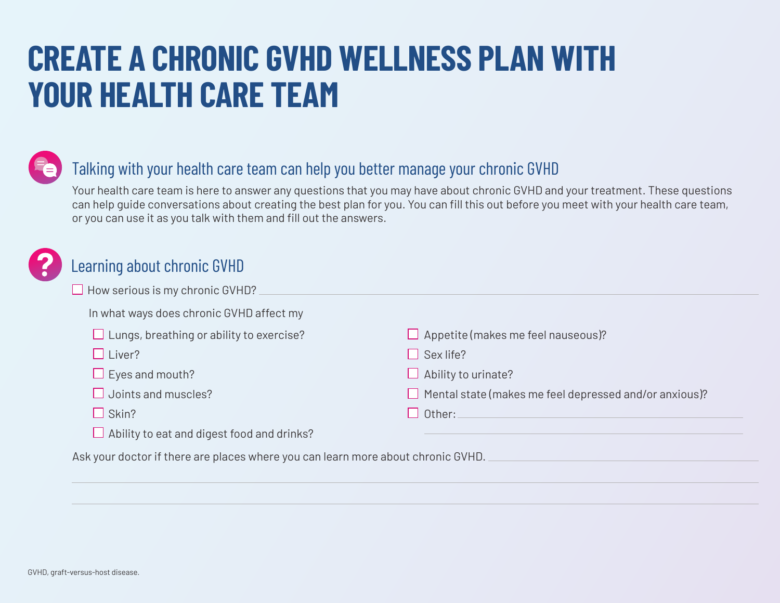## **CREATE A CHRONIC GVHD WELLNESS PLAN WITH YOUR HEALTH CARE TEAM**



## Talking with your health care team can help you better manage your chronic GVHD

Your health care team is here to answer any questions that you may have about chronic GVHD and your treatment. These questions can help guide conversations about creating the best plan for you. You can fill this out before you meet with your health care team, or you can use it as you talk with them and fill out the answers.



## Learning about chronic GVHD

| $\Box$ How serious is my chronic GVHD?                                           |                                                               |
|----------------------------------------------------------------------------------|---------------------------------------------------------------|
| In what ways does chronic GVHD affect my                                         |                                                               |
| $\Box$ Lungs, breathing or ability to exercise?                                  | $\Box$ Appetite (makes me feel nauseous)?                     |
| $\Box$ Liver?                                                                    | $\Box$ Sex life?                                              |
| $\Box$ Eyes and mouth?                                                           | $\Box$ Ability to urinate?                                    |
| $\Box$ Joints and muscles?                                                       | $\Box$ Mental state (makes me feel depressed and/or anxious)? |
| $\Box$ Skin?                                                                     | $\square$ Other:                                              |
| $\Box$ Ability to eat and digest food and drinks?                                |                                                               |
| Ask your doctor if there are places where you can learn more about chronic GVHD. |                                                               |